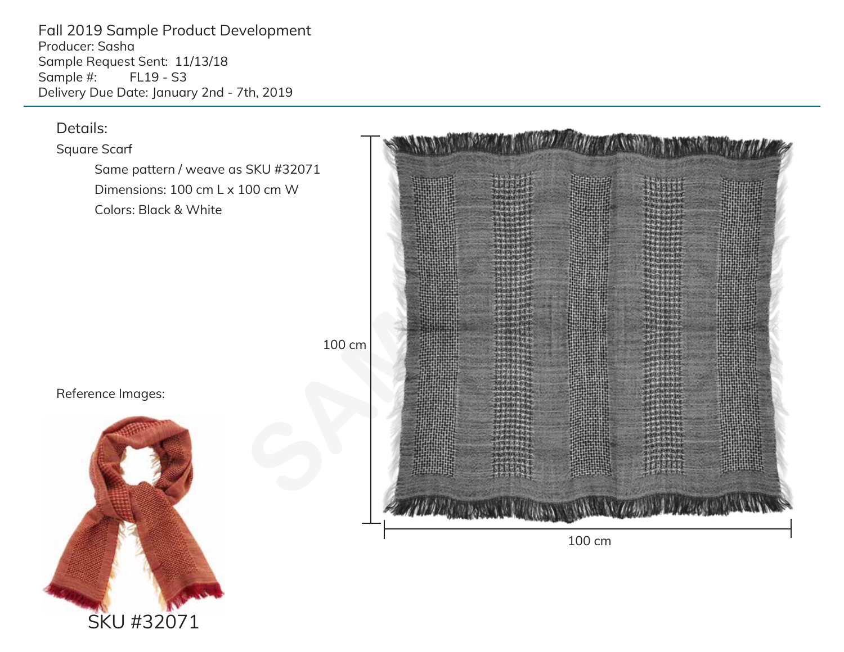Fall 2019 Sample Product Development Producer: Sasha Sample Request Sent: 11/13/18<br>Sample #: FL19 - S3 FL19 - S3 Delivery Due Date: January 2nd - 7th, 2019



# Details:

Square Scarf

 Same pattern / weave as SKU #32071 Dimensions: 100 cm L x 100 cm W Colors: Black & White

# Reference Images:

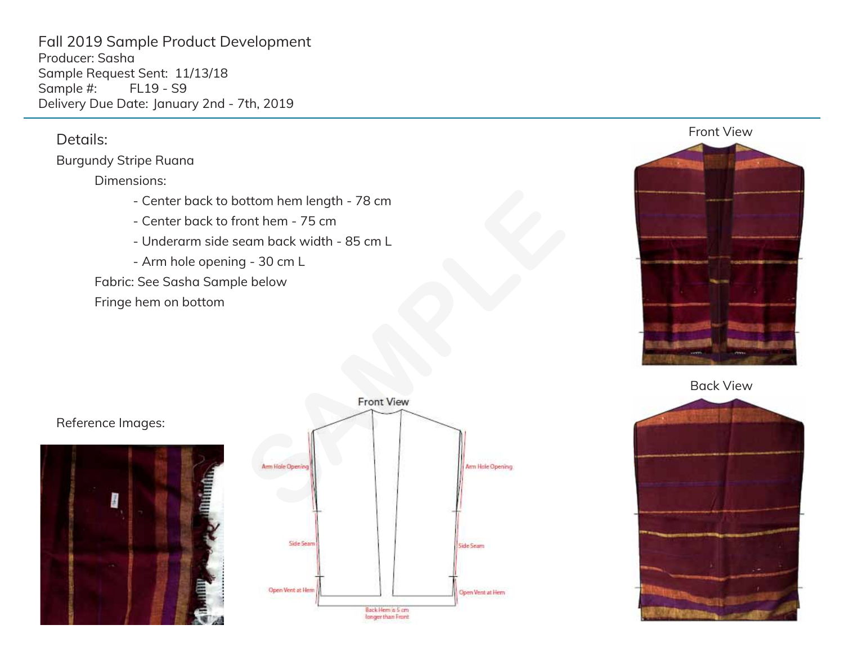Fall 2019 Sample Product Development Producer: Sasha Sample Request Sent: 11/13/18<br>Sample #: FL19 - S9 Sample #: Delivery Due Date: January 2nd - 7th, 2019

### Details:

#### Burgundy Stripe Ruana

#### Dimensions:

- Center back to bottom hem length 78 cm
- Center back to front hem 75 cm
- Underarm side seam back width 85 cm L
- Arm hole opening 30 cm L

Fabric: See Sasha Sample below

Fringe hem on bottom



Back View



### Reference Images:



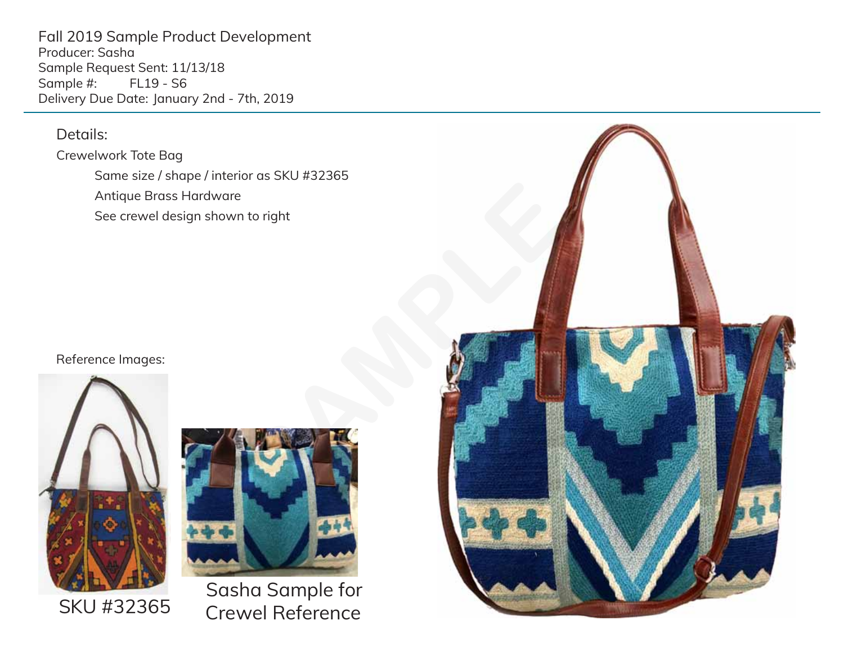Fall 2019 Sample Product Development Producer: Sasha Sample Request Sent: 11/13/18 Sample #: Delivery Due Date: January 2nd - 7th, 2019

## Details:

Crewelwork Tote Bag Same size / shape / interior as SKU #32365 Antique Brass Hardware See crewel design shown to right

#### Reference Images:





Sasha Sample for Crewel Reference